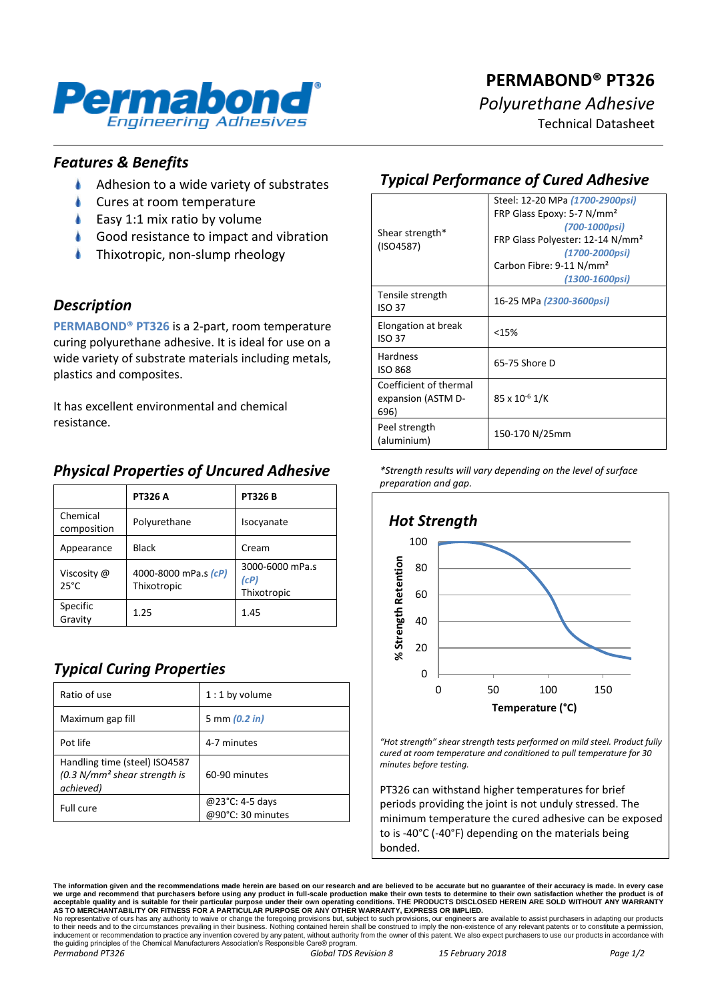

# **PERMABOND® PT326** *Polyurethane Adhesive*

Technical Datasheet

### *Features & Benefits*

- $\bullet$ Adhesion to a wide variety of substrates
- Cures at room temperature
- Easy 1:1 mix ratio by volume
- Good resistance to impact and vibration
- Thixotropic, non-slump rheology

### *Description*

**PERMABOND® PT326** is a 2-part, room temperature curing polyurethane adhesive. It is ideal for use on a wide variety of substrate materials including metals, plastics and composites.

It has excellent environmental and chemical resistance.

## *Physical Properties of Uncured Adhesive*

|                               | <b>PT326 A</b>                      | <b>PT326B</b>                          |
|-------------------------------|-------------------------------------|----------------------------------------|
| Chemical<br>composition       | Polyurethane                        | Isocyanate                             |
| Appearance                    | <b>Black</b>                        | Cream                                  |
| Viscosity @<br>$25^{\circ}$ C | 4000-8000 mPa.s (cP)<br>Thixotropic | 3000-6000 mPa.s<br>(cP)<br>Thixotropic |
| Specific<br>Gravity           | 1.25                                | 1.45                                   |

# *Typical Curing Properties*

| Ratio of use                                                                 | $1:1$ by volume                      |
|------------------------------------------------------------------------------|--------------------------------------|
| Maximum gap fill                                                             | 5 mm (0.2 in)                        |
| Pot life                                                                     | 4-7 minutes                          |
| Handling time (steel) ISO4587<br>$(0.3 N/mm2 shear strength is$<br>achieved) | 60-90 minutes                        |
| Full cure                                                                    | @23°C: 4-5 days<br>@90°C: 30 minutes |

# *Typical Performance of Cured Adhesive*

| Shear strength*<br>(ISO4587)                         | Steel: 12-20 MPa (1700-2900psi)<br>FRP Glass Epoxy: 5-7 N/mm <sup>2</sup><br>(700-1000psi)<br>FRP Glass Polyester: 12-14 N/mm <sup>2</sup><br>(1700-2000psi)<br>Carbon Fibre: 9-11 N/mm <sup>2</sup><br>(1300-1600psi) |
|------------------------------------------------------|------------------------------------------------------------------------------------------------------------------------------------------------------------------------------------------------------------------------|
| Tensile strength<br><b>ISO 37</b>                    | 16-25 MPa (2300-3600psi)                                                                                                                                                                                               |
| Elongation at break<br>ISO 37                        | <15%                                                                                                                                                                                                                   |
| <b>Hardness</b><br><b>ISO 868</b>                    | 65-75 Shore D                                                                                                                                                                                                          |
| Coefficient of thermal<br>expansion (ASTM D-<br>696) | $85 \times 10^{-6}$ 1/K                                                                                                                                                                                                |
| Peel strength<br>(aluminium)                         | 150-170 N/25mm                                                                                                                                                                                                         |

*<sup>\*</sup>Strength results will vary depending on the level of surface preparation and gap.*



*"Hot strength" shear strength tests performed on mild steel. Product fully cured at room temperature and conditioned to pull temperature for 30 minutes before testing.*

PT326 can withstand higher temperatures for brief periods providing the joint is not unduly stressed. The minimum temperature the cured adhesive can be exposed to is -40°C (-40°F) depending on the materials being bonded.

The information given and the recommendations made herein are based on our research and are believed to be accurate but no guarantee of their accuracy is made. In every case<br>we urge and recommend that purchasers before usi

No representative of ours has any authority to waive or change the foregoing provisions but, subject to such provisions, our engineers are available to assist purchasers in adapting our products<br>to their needs and to the c the guiding principles of the Chemical Manufacturers Association's Responsible Care® program. *Permabond PT326 Global TDS Revision 8 15 February 2018 Page 1/2*